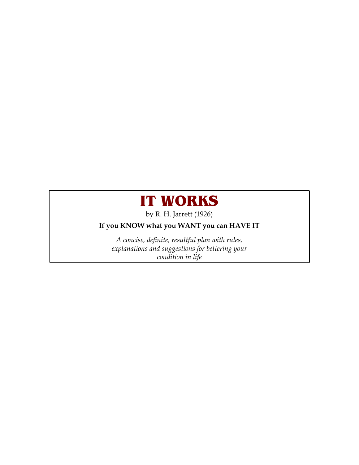# IT WORKS

by R. H. Jarrett (1926)

If you KNOW what you WANT you can HAVE IT

A concise, definite, resultful plan with rules, explanations and suggestions for bettering your condition in life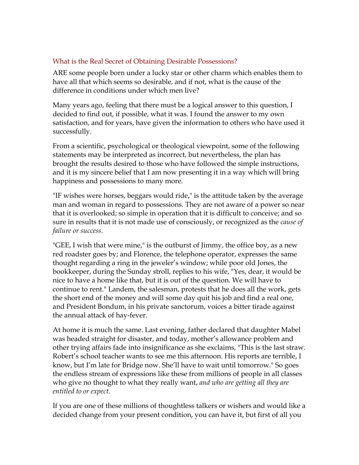#### What is the Real Secret of Obtaining Desirable Possessions?

ARE some people born under a lucky star or other charm which enables them to have all that which seems so desirable, and if not, what is the cause of the difference in conditions under which men live?

Many years ago, feeling that there must be a logical answer to this question, I decided to find out, if possible, what it was. I found the answer to my own satisfaction, and for years, have given the information to others who have used it successfully.

From a scientific, psychological or theological viewpoint, some of the following statements may be interpreted as incorrect, but nevertheless, the plan has brought the results desired to those who have followed the simple instructions, and it is my sincere belief that I am now presenting it in a way which will bring happiness and possessions to many more.

"IF wishes were horses, beggars would ride," is the attitude taken by the average man and woman in regard to possessions. They are not aware of a power so near that it is overlooked; so simple in operation that it is difficult to conceive; and so sure in results that it is not made use of consciously, or recognized as the *cause of* failure or success.

"GEE, I wish that were mine," is the outburst of Jimmy, the office boy, as a new red roadster goes by; and Florence, the telephone operator, expresses the same thought regarding a ring in the jeweler's window; while poor old Jones, the bookkeeper, during the Sunday stroll, replies to his wife, "Yes, dear, it would be nice to have a home like that, but it is out of the question. We will have to continue to rent." Landem, the salesman, protests that he does all the work, gets the short end of the money and will some day quit his job and find a real one, and President Bondum, in his private sanctorum, voices a bitter tirade against the annual attack of hay-fever.

At home it is much the same. Last evening, father declared that daughter Mabel was headed straight for disaster, and today, mother's allowance problem and other trying affairs fade into insignificance as she exclaims, "This is the last straw. Robert's school teacher wants to see me this afternoon. His reports are terrible, I know, but I'm late for Bridge now. She'll have to wait until tomorrow." So goes the endless stream of expressions like these from millions of people in all classes who give no thought to what they really want, and who are getting all they are entitled to or expect.

If you are one of these millions of thoughtless talkers or wishers and would like a decided change from your present condition, you can have it, but first of all you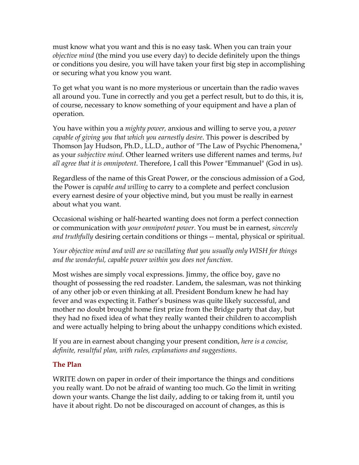must know what you want and this is no easy task. When you can train your objective mind (the mind you use every day) to decide definitely upon the things or conditions you desire, you will have taken your first big step in accomplishing or securing what you know you want.

To get what you want is no more mysterious or uncertain than the radio waves all around you. Tune in correctly and you get a perfect result, but to do this, it is, of course, necessary to know something of your equipment and have a plan of operation.

You have within you a *mighty power*, anxious and willing to serve you, a *power* capable of giving you that which you earnestly desire. This power is described by Thomson Jay Hudson, Ph.D., LL.D., author of "The Law of Psychic Phenomena," as your subjective mind. Other learned writers use different names and terms, but all agree that it is omnipotent. Therefore, I call this Power "Emmanuel" (God in us).

Regardless of the name of this Great Power, or the conscious admission of a God, the Power is capable and willing to carry to a complete and perfect conclusion every earnest desire of your objective mind, but you must be really in earnest about what you want.

Occasional wishing or half-hearted wanting does not form a perfect connection or communication with your omnipotent power. You must be in earnest, sincerely and truthfully desiring certain conditions or things -- mental, physical or spiritual.

Your objective mind and will are so vacillating that you usually only WISH for things and the wonderful, capable power within you does not function.

Most wishes are simply vocal expressions. Jimmy, the office boy, gave no thought of possessing the red roadster. Landem, the salesman, was not thinking of any other job or even thinking at all. President Bondum knew he had hay fever and was expecting it. Father's business was quite likely successful, and mother no doubt brought home first prize from the Bridge party that day, but they had no fixed idea of what they really wanted their children to accomplish and were actually helping to bring about the unhappy conditions which existed.

If you are in earnest about changing your present condition, here is a concise, definite, resultful plan, with rules, explanations and suggestions.

# The Plan

WRITE down on paper in order of their importance the things and conditions you really want. Do not be afraid of wanting too much. Go the limit in writing down your wants. Change the list daily, adding to or taking from it, until you have it about right. Do not be discouraged on account of changes, as this is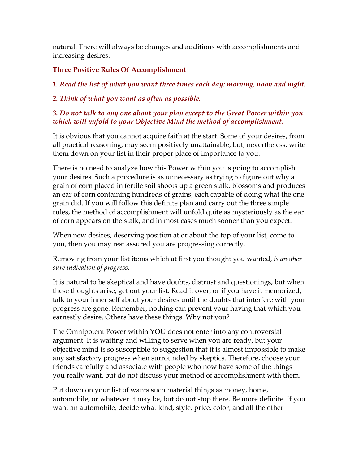natural. There will always be changes and additions with accomplishments and increasing desires.

## Three Positive Rules Of Accomplishment

1. Read the list of what you want three times each day: morning, noon and night.

# 2. Think of what you want as often as possible.

#### 3. Do not talk to any one about your plan except to the Great Power within you which will unfold to your Objective Mind the method of accomplishment.

It is obvious that you cannot acquire faith at the start. Some of your desires, from all practical reasoning, may seem positively unattainable, but, nevertheless, write them down on your list in their proper place of importance to you.

There is no need to analyze how this Power within you is going to accomplish your desires. Such a procedure is as unnecessary as trying to figure out why a grain of corn placed in fertile soil shoots up a green stalk, blossoms and produces an ear of corn containing hundreds of grains, each capable of doing what the one grain did. If you will follow this definite plan and carry out the three simple rules, the method of accomplishment will unfold quite as mysteriously as the ear of corn appears on the stalk, and in most cases much sooner than you expect.

When new desires, deserving position at or about the top of your list, come to you, then you may rest assured you are progressing correctly.

Removing from your list items which at first you thought you wanted, is another sure indication of progress.

It is natural to be skeptical and have doubts, distrust and questionings, but when these thoughts arise, get out your list. Read it over; or if you have it memorized, talk to your inner self about your desires until the doubts that interfere with your progress are gone. Remember, nothing can prevent your having that which you earnestly desire. Others have these things. Why not you?

The Omnipotent Power within YOU does not enter into any controversial argument. It is waiting and willing to serve when you are ready, but your objective mind is so susceptible to suggestion that it is almost impossible to make any satisfactory progress when surrounded by skeptics. Therefore, choose your friends carefully and associate with people who now have some of the things you really want, but do not discuss your method of accomplishment with them.

Put down on your list of wants such material things as money, home, automobile, or whatever it may be, but do not stop there. Be more definite. If you want an automobile, decide what kind, style, price, color, and all the other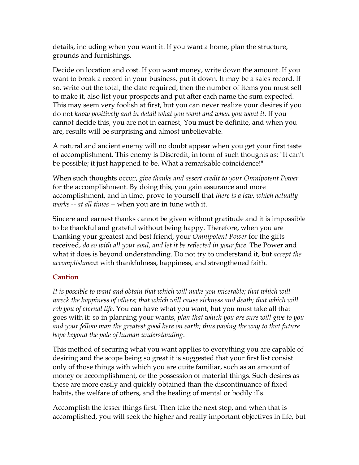details, including when you want it. If you want a home, plan the structure, grounds and furnishings.

Decide on location and cost. If you want money, write down the amount. If you want to break a record in your business, put it down. It may be a sales record. If so, write out the total, the date required, then the number of items you must sell to make it, also list your prospects and put after each name the sum expected. This may seem very foolish at first, but you can never realize your desires if you do not know positively and in detail what you want and when you want it. If you cannot decide this, you are not in earnest, You must be definite, and when you are, results will be surprising and almost unbelievable.

A natural and ancient enemy will no doubt appear when you get your first taste of accomplishment. This enemy is Discredit, in form of such thoughts as: "It can't be possible; it just happened to be. What a remarkable coincidence!"

When such thoughts occur, give thanks and assert credit to your Omnipotent Power for the accomplishment. By doing this, you gain assurance and more accomplishment, and in time, prove to yourself that there is a law, which actually works -- at all times -- when you are in tune with it.

Sincere and earnest thanks cannot be given without gratitude and it is impossible to be thankful and grateful without being happy. Therefore, when you are thanking your greatest and best friend, your Omnipotent Power for the gifts received, do so with all your soul, and let it be reflected in your face. The Power and what it does is beyond understanding. Do not try to understand it, but accept the accomplishment with thankfulness, happiness, and strengthened faith.

# Caution

It is possible to want and obtain that which will make you miserable; that which will wreck the happiness of others; that which will cause sickness and death; that which will rob you of eternal life. You can have what you want, but you must take all that goes with it: so in planning your wants, plan that which you are sure will give to you and your fellow man the greatest good here on earth; thus paving the way to that future hope beyond the pale of human understanding.

This method of securing what you want applies to everything you are capable of desiring and the scope being so great it is suggested that your first list consist only of those things with which you are quite familiar, such as an amount of money or accomplishment, or the possession of material things. Such desires as these are more easily and quickly obtained than the discontinuance of fixed habits, the welfare of others, and the healing of mental or bodily ills.

Accomplish the lesser things first. Then take the next step, and when that is accomplished, you will seek the higher and really important objectives in life, but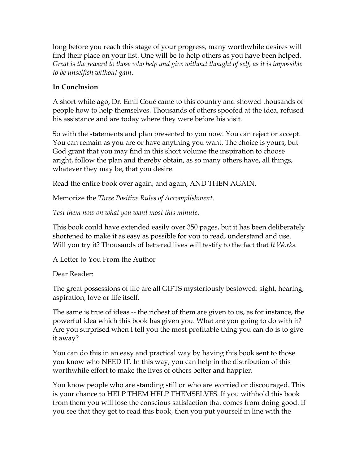long before you reach this stage of your progress, many worthwhile desires will find their place on your list. One will be to help others as you have been helped. Great is the reward to those who help and give without thought of self, as it is impossible to be unselfish without gain.

### In Conclusion

A short while ago, Dr. Emil Coué came to this country and showed thousands of people how to help themselves. Thousands of others spoofed at the idea, refused his assistance and are today where they were before his visit.

So with the statements and plan presented to you now. You can reject or accept. You can remain as you are or have anything you want. The choice is yours, but God grant that you may find in this short volume the inspiration to choose aright, follow the plan and thereby obtain, as so many others have, all things, whatever they may be, that you desire.

Read the entire book over again, and again, AND THEN AGAIN.

Memorize the Three Positive Rules of Accomplishment.

Test them now on what you want most this minute.

This book could have extended easily over 350 pages, but it has been deliberately shortened to make it as easy as possible for you to read, understand and use. Will you try it? Thousands of bettered lives will testify to the fact that It Works.

A Letter to You From the Author

Dear Reader:

The great possessions of life are all GIFTS mysteriously bestowed: sight, hearing, aspiration, love or life itself.

The same is true of ideas -- the richest of them are given to us, as for instance, the powerful idea which this book has given you. What are you going to do with it? Are you surprised when I tell you the most profitable thing you can do is to give it away?

You can do this in an easy and practical way by having this book sent to those you know who NEED IT. In this way, you can help in the distribution of this worthwhile effort to make the lives of others better and happier.

You know people who are standing still or who are worried or discouraged. This is your chance to HELP THEM HELP THEMSELVES. If you withhold this book from them you will lose the conscious satisfaction that comes from doing good. If you see that they get to read this book, then you put yourself in line with the